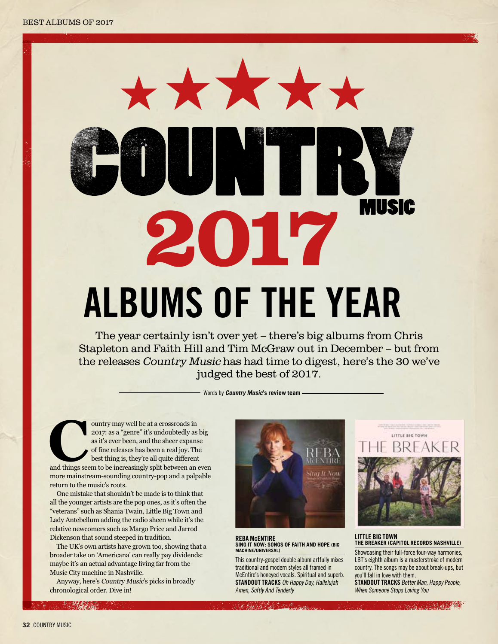# \*\*\*\*\*\* **MUSIC** 2017 **albums of the year**

The year certainly isn't over yet – there's big albums from Chris Stapleton and Faith Hill and Tim McGraw out in December – but from the releases Country Music has had time to digest, here's the 30 we've judged the best of 2017.

Words by **Country Music's review team**

ountry may well be at a crossroads in 2017: as a "genre" it's undoubtedly as big as it's ever been, and the sheer expanse of fine releases has been a real joy. The best thing is, they're all quite different and things seem 2017: as a "genre" it's undoubtedly as big as it's ever been, and the sheer expanse of fine releases has been a real joy. The best thing is, they're all quite different more mainstream-sounding country-pop and a palpable return to the music's roots.

One mistake that shouldn't be made is to think that all the younger artists are the pop ones, as it's often the "veterans" such as Shania Twain, Little Big Town and Lady Antebellum adding the radio sheen while it's the relative newcomers such as Margo Price and Jarrod Dickenson that sound steeped in tradition.

The UK's own artists have grown too, showing that a broader take on 'Americana' can really pay dividends: maybe it's an actual advantage living far from the Music City machine in Nashville.

Anyway, here's Country Music's picks in broadly chronological order. Dive in!



#### **REBA McENTIRE Sing It Now: Songs Of Faith And Hope (Big Machine/Universal)**

This country-gospel double album artfully mixes traditional and modern styles all framed in McEntire's honeyed vocals. Spiritual and superb. **STANDOUT TRACKS** Oh Happy Day, Hallelujah Amen, Softly And Tenderly



#### **LITTLE BIG TOWN THE BREAKER (CAPITOL RECORDS NASHVILLE)**

Showcasing their full-force four-way harmonies, LBT's eighth album is a masterstroke of modern country. The songs may be about break-ups, but you'll fall in love with them.

**STANDOUT TRACKS** Better Man, Happy People, When Someone Stops Loving You

**CONTRACTOR**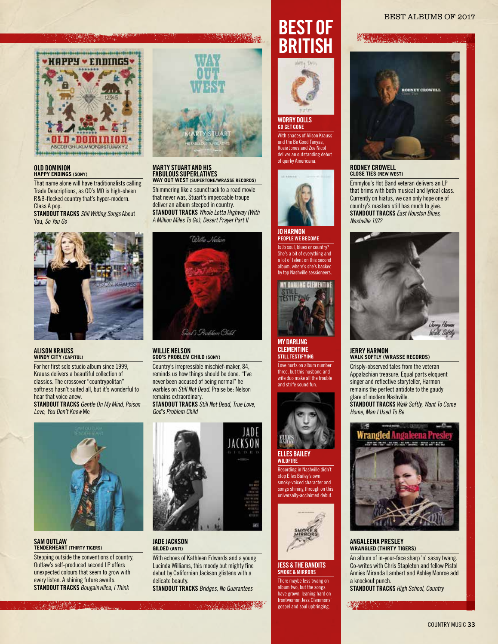#### xxxx xxxxx BEST ALBUMS OF 2017



#### **Old Dominion HAPPY ENDINGS (SONY)**

That name alone will have traditionalists calling Trade Descriptions, as OD's MO is high-sheen R&B-flecked country that's hyper-modern. Class A pop.

**STANDOUT TRACKS** *Still Writing Songs* About You, *So You Go*



# **ALISON KRAUSS WINDY CITY (CAPITOL)**

For her first solo studio album since 1999, Krauss delivers a beautiful collection of classics. The crossover "countrypolitan" softness hasn't suited all, but it's wonderful to hear that voice anew.

**STANDOUT TRACKS** Gentle On My Mind, Poison Love, You Don't Know Me



# **SAM OUTLAW TENDERHEART (THIRTY TIGERS)**

Stepping outside the conventions of country, Outlaw's self-produced second LP offers unexpected colours that seem to grow with every listen. A shining future awaits. **STANDOUT TRACKS** Bougainvillea, I Think



#### **MARTY STUART AND HIS FABULOUS SUPERLATIVES WAY OUT WEST (SUPERTONE/WRASSE RECORDS)**

Shimmering like a soundtrack to a road movie that never was, Stuart's impeccable troupe deliver an album steeped in country. **STANDOUT TRACKS** Whole Lotta Highway (With A Million Miles To Go), Desert Prayer Part II



# **WILLIE NELSON GOD'S PROBLEM CHILD (SONY)**

Country's irrepressible mischief-maker, 84, reminds us how things should be done. "I've never been accused of being normal" he warbles on Still Not Dead. Praise be: Nelson remains extraordinary. **STANDOUT TRACKS** Still Not Dead, True Love, God's Problem Child



#### **JADE JACKSON GILDED (ANTI)**

With echoes of Kathleen Edwards and a young Lucinda Williams, this moody but mighty fine debut by Californian Jackson glistens with a delicate beauty.

**STANDOUT TRACKS** Bridges, No Guarantees

**CONTRACTOR** 

# **Best Of British**



#### **WORRY DOLLS GO GET GONE**

With shades of Alison Krauss and the Be Good Tanyas, Rosie Jones and Zoe Nicol deliver an outstanding debut of quirky Americana.



#### **JOHARMON**

**PEOPLE WE BECOME** Is Jo soul, blues or country? She's a bit of everything and a lot of talent on this second um, where's she's backed by top Nashville sessioneers.



#### **MY DARLING CLEMENTINE Still Testifying**

Love hurts on album number three, but this husband and wife duo make all the trouble and strife sound fun.



#### **ELLES BAILEY Wildfire**

Recording in Nashville didn't stop Elles Bailey's own smoky-voiced character and songs shining through on this universally-acclaimed debut.



#### **JESS & THE BANDITS SMOKE & MIRRORS**

There maybe less twang on album two, but the songs have grown, leaning hard on frontwoman Jess Clemmons gospel and soul upbringing.



**Albanya Kara** 

#### **RODNEY CROWELL CLOSE TIES (NEW WEST)**

Emmylou's Hot Band veteran delivers an LP that brims with both musical and lyrical class. Currently on hiatus, we can only hope one of country's masters still has much to give. **STANDOUTTRACKS** *East Houston Blues*, *Nashville 1972*



# **JERRY HARMON WALK SOFTLY (WRASSE RECORDS)**

Crisply-observed tales from the veteran Appalachian treasure. Equal parts eloquent singer and reflective storyteller, Harmon remains the perfect antidote to the gaudy glare of modern Nashville. **STANDOUT TRACKS** Walk Softly, Want To Come Home, Man I Used To Be



#### **ANGALEENA PRESLEY WRANGLED (THIRTY TIGERS)**

An album of in-your-face sharp 'n' sassy twang. Co-writes with Chris Stapleton and fellow Pistol Annies Miranda Lambert and Ashley Monroe add a knockout punch.

**STANDOUT TRACKS** High School, Country